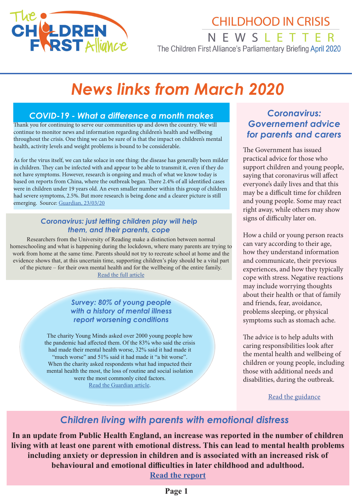

# **CHILDHOOD IN CRISIS**

NEWSLETTER The Children First Alliance's Parliamentary Briefing April 2020

# *News links from March 2020*

### *COVID-19 - What a difference a month makes*

Thank you for continuing to serve our communities up and down the country. We will continue to monitor news and information regarding children's health and wellbeing throughout the crisis. One thing we can be sure of is that the impact on children's mental health, activity levels and weight problems is bound to be considerable.

As for the virus itself, we can take solace in one thing: the disease has generally been milder in children. They can be infected with and appear to be able to transmit it, even if they do not have symptoms. However, research is ongoing and much of what we know today is based on reports from China, where the outbreak began. There 2.4% of all identified cases were in children under 19 years old. An even smaller number within this group of children had severe symptoms, 2.5%. But more research is being done and a clearer picture is still emerging. Source: [Guardian, 23/03/20](https://www.theguardian.com/world/2020/mar/23/can-kids-catch-coronavirus-what-we-know-about-covid-19-and-children)

### *Coronavirus: just letting children play will help them, and their parents, cope*

Researchers from the University of Reading make a distinction between normal homeschooling and what is happening during the lockdown, where many parents are trying to work from home at the same time. Parents should not try to recreate school at home and the evidence shows that, at this uncertain time, supporting children's play should be a vital part of the picture – for their own mental health and for the wellbeing of the entire family. [Read the full article](https://uk.news.yahoo.com/coronavirus-letting-children-play-help-132944521.html)

### *Survey: 80% of young people with a history of mental illness report worsening conditions*

The charity Young Minds asked over 2000 young people how the pandemic had affected them. Of the 83% who said the crisis had made their mental health worse, 32% said it had made it "much worse" and 51% said it had made it "a bit worse". When the charity asked respondents what had impacted their mental health the most, the loss of routine and social isolation were the most commonly cited factors.

[Read the Guardian article](https://www.theguardian.com/society/2020/mar/31/young-peoples-mental-health-hit-by-coronavirus-uk-poll).

### *Coronavirus: Governement advice for parents and carers*

The Government has issued practical advice for those who support children and young people, saying that coronavirus will affect everyone's daily lives and that this may be a difficult time for children and young people. Some may react right away, while others may show signs of difficulty later on.

How a child or young person reacts can vary according to their age, how they understand information and communicate, their previous experiences, and how they typically cope with stress. Negative reactions may include worrying thoughts about their health or that of family and friends, fear, avoidance, problems sleeping, or physical symptoms such as stomach ache.

The advice is to help adults with caring responsibilities look after the mental health and wellbeing of children or young people, including those with additional needs and disabilities, during the outbreak.

#### [Read the guidance](https://www.gov.uk/government/publications/covid-19-guidance-on-supporting-children-and-young-peoples-mental-health-and-wellbeing?utm_source=198a9e75-a418-4442-9102-7c714bd37c3c&utm_medium=email&utm_campaign=govuk-notifications&utm_content=immediate)

# *Children living with parents with emotional distress*

**In an update from Public Health England, an increase was reported in the number of children living with at least one parent with emotional distress. This can lead to mental health problems including anxiety or depression in children and is associated with an increased risk of behavioural and emotional difficulties in later childhood and adulthood.**

**[Read the report](https://www.gov.uk/government/statistics/children-living-with-parents-in-emotional-distress-march-2020-update?utm_source=9d90c73a-87dd-47fb-8e6c-e899a337b806&utm_medium=email&utm_campaign=govuk-notifications&utm_content=immediate)**